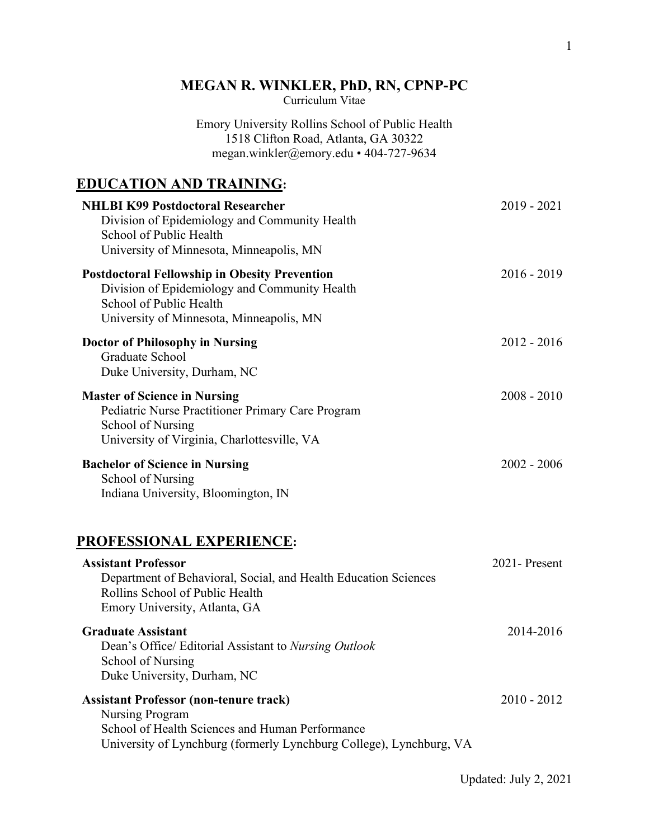# **MEGAN R. WINKLER, PhD, RN, CPNP-PC**

Curriculum Vitae

Emory University Rollins School of Public Health 1518 Clifton Road, Atlanta, GA 30322 megan.winkler@emory.edu • 404-727-9634

# **EDUCATION AND TRAINING:**

| <b>NHLBI K99 Postdoctoral Researcher</b><br>Division of Epidemiology and Community Health<br>School of Public Health<br>University of Minnesota, Minneapolis, MN             | $2019 - 2021$ |
|------------------------------------------------------------------------------------------------------------------------------------------------------------------------------|---------------|
| <b>Postdoctoral Fellowship in Obesity Prevention</b><br>Division of Epidemiology and Community Health<br>School of Public Health<br>University of Minnesota, Minneapolis, MN | $2016 - 2019$ |
| <b>Doctor of Philosophy in Nursing</b><br>Graduate School<br>Duke University, Durham, NC                                                                                     | $2012 - 2016$ |
| <b>Master of Science in Nursing</b><br>Pediatric Nurse Practitioner Primary Care Program<br>School of Nursing<br>University of Virginia, Charlottesville, VA                 | $2008 - 2010$ |
| <b>Bachelor of Science in Nursing</b><br><b>School of Nursing</b><br>Indiana University, Bloomington, IN                                                                     | $2002 - 2006$ |
| PROFESSIONAL EXPERIENCE:                                                                                                                                                     |               |
| <b>Assistant Professor</b><br>Department of Behavioral, Social, and Health Education Sciences<br>Rollins School of Public Health<br>Emory University, Atlanta, GA            | 2021-Present  |
| <b>Graduate Assistant</b>                                                                                                                                                    | 2014-2016     |

**Graduate Assistant**  Dean's Office/ Editorial Assistant to *Nursing Outlook*  School of Nursing

Duke University, Durham, NC **Assistant Professor (non-tenure track)** Nursing Program School of Health Sciences and Human Performance 2010 - 2012

University of Lynchburg (formerly Lynchburg College), Lynchburg, VA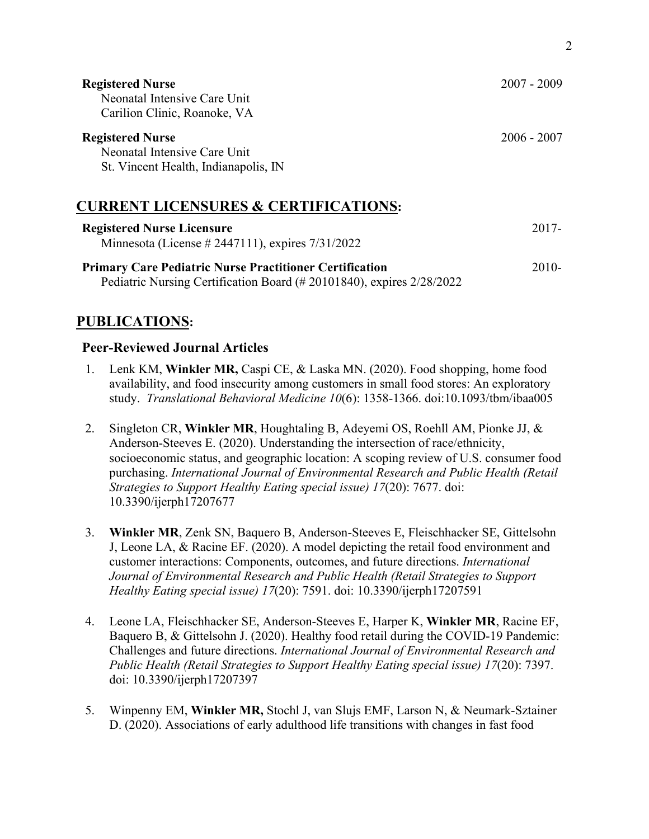| <b>Registered Nurse</b><br>Neonatal Intensive Care Unit<br>Carilion Clinic, Roanoke, VA                                                 | $2007 - 2009$ |
|-----------------------------------------------------------------------------------------------------------------------------------------|---------------|
| <b>Registered Nurse</b><br>Neonatal Intensive Care Unit<br>St. Vincent Health, Indianapolis, IN                                         | $2006 - 2007$ |
| <b>CURRENT LICENSURES &amp; CERTIFICATIONS:</b>                                                                                         |               |
| <b>Registered Nurse Licensure</b><br>Minnesota (License # 2447111), expires $7/31/2022$                                                 | $2017 -$      |
| <b>Primary Care Pediatric Nurse Practitioner Certification</b><br>Pediatric Nursing Certification Board (# 20101840), expires 2/28/2022 | $2010-$       |

# **PUBLICATIONS:**

#### **Peer-Reviewed Journal Articles**

- 1. Lenk KM, **Winkler MR,** Caspi CE, & Laska MN. (2020). Food shopping, home food availability, and food insecurity among customers in small food stores: An exploratory study. *Translational Behavioral Medicine 10*(6): 1358-1366. doi:10.1093/tbm/ibaa005
- 2. Singleton CR, **Winkler MR**, Houghtaling B, Adeyemi OS, Roehll AM, Pionke JJ, & Anderson-Steeves E. (2020). Understanding the intersection of race/ethnicity, socioeconomic status, and geographic location: A scoping review of U.S. consumer food purchasing. *International Journal of Environmental Research and Public Health (Retail Strategies to Support Healthy Eating special issue) 17*(20): 7677. doi: 10.3390/ijerph17207677
- 3. **Winkler MR**, Zenk SN, Baquero B, Anderson-Steeves E, Fleischhacker SE, Gittelsohn J, Leone LA, & Racine EF. (2020). A model depicting the retail food environment and customer interactions: Components, outcomes, and future directions. *International Journal of Environmental Research and Public Health (Retail Strategies to Support Healthy Eating special issue) 17*(20): 7591. doi: 10.3390/ijerph17207591
- 4. Leone LA, Fleischhacker SE, Anderson-Steeves E, Harper K, **Winkler MR**, Racine EF, Baquero B, & Gittelsohn J. (2020). Healthy food retail during the COVID-19 Pandemic: Challenges and future directions. *International Journal of Environmental Research and Public Health (Retail Strategies to Support Healthy Eating special issue) 17*(20): 7397. doi: 10.3390/ijerph17207397
- 5. Winpenny EM, **Winkler MR,** Stochl J, van Slujs EMF, Larson N, & Neumark-Sztainer D. (2020). Associations of early adulthood life transitions with changes in fast food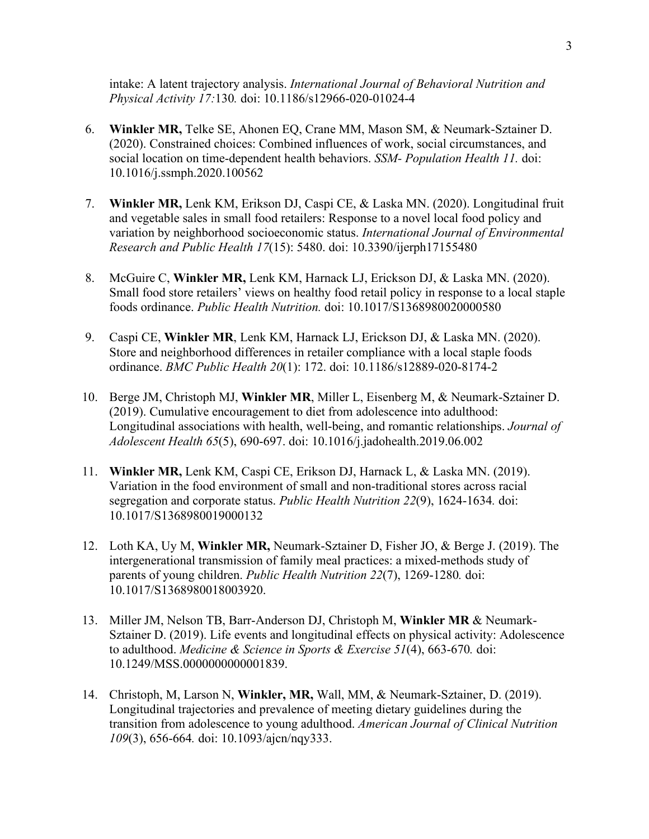intake: A latent trajectory analysis. *International Journal of Behavioral Nutrition and Physical Activity 17:*130*.* doi: 10.1186/s12966-020-01024-4

- 6. **Winkler MR,** Telke SE, Ahonen EQ, Crane MM, Mason SM, & Neumark-Sztainer D. (2020). Constrained choices: Combined influences of work, social circumstances, and social location on time-dependent health behaviors. *SSM- Population Health 11.* doi: 10.1016/j.ssmph.2020.100562
- 7. **Winkler MR,** Lenk KM, Erikson DJ, Caspi CE, & Laska MN. (2020). Longitudinal fruit and vegetable sales in small food retailers: Response to a novel local food policy and variation by neighborhood socioeconomic status. *International Journal of Environmental Research and Public Health 17*(15): 5480. doi: 10.3390/ijerph17155480
- 8. McGuire C, **Winkler MR,** Lenk KM, Harnack LJ, Erickson DJ, & Laska MN. (2020). Small food store retailers' views on healthy food retail policy in response to a local staple foods ordinance. *Public Health Nutrition.* doi: 10.1017/S1368980020000580
- 9. Caspi CE, **Winkler MR**, Lenk KM, Harnack LJ, Erickson DJ, & Laska MN. (2020). Store and neighborhood differences in retailer compliance with a local staple foods ordinance. *BMC Public Health 20*(1): 172. doi: 10.1186/s12889-020-8174-2
- 10. Berge JM, Christoph MJ, **Winkler MR**, Miller L, Eisenberg M, & Neumark-Sztainer D. (2019). Cumulative encouragement to diet from adolescence into adulthood: Longitudinal associations with health, well-being, and romantic relationships. *Journal of Adolescent Health 65*(5), 690-697. doi: 10.1016/j.jadohealth.2019.06.002
- 11. **Winkler MR,** Lenk KM, Caspi CE, Erikson DJ, Harnack L, & Laska MN. (2019). Variation in the food environment of small and non-traditional stores across racial segregation and corporate status. *Public Health Nutrition 22*(9), 1624-1634*.* doi: 10.1017/S1368980019000132
- 12. Loth KA, Uy M, **Winkler MR,** Neumark-Sztainer D, Fisher JO, & Berge J. (2019). The intergenerational transmission of family meal practices: a mixed-methods study of parents of young children. *Public Health Nutrition 22*(7), 1269-1280*.* doi: 10.1017/S1368980018003920.
- 13. Miller JM, Nelson TB, Barr-Anderson DJ, Christoph M, **Winkler MR** & Neumark-Sztainer D. (2019). Life events and longitudinal effects on physical activity: Adolescence to adulthood. *Medicine & Science in Sports & Exercise 51*(4), 663-670*.* doi: 10.1249/MSS.0000000000001839.
- 14. Christoph, M, Larson N, **Winkler, MR,** Wall, MM, & Neumark-Sztainer, D. (2019). Longitudinal trajectories and prevalence of meeting dietary guidelines during the transition from adolescence to young adulthood. *American Journal of Clinical Nutrition 109*(3), 656-664*.* doi: 10.1093/ajcn/nqy333.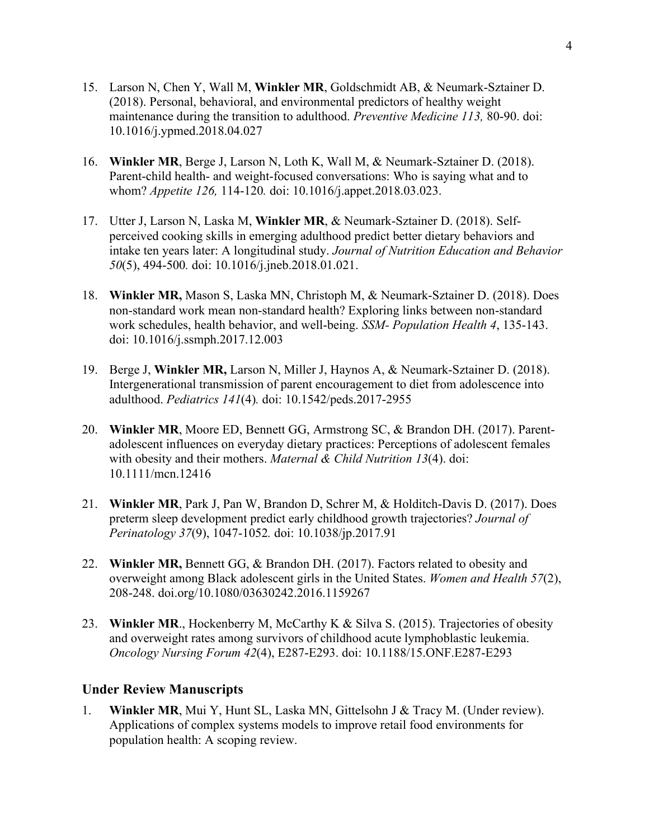- 15. Larson N, Chen Y, Wall M, **Winkler MR**, Goldschmidt AB, & Neumark-Sztainer D. (2018). Personal, behavioral, and environmental predictors of healthy weight maintenance during the transition to adulthood. *Preventive Medicine 113,* 80-90. doi: 10.1016/j.ypmed.2018.04.027
- 16. **Winkler MR**, Berge J, Larson N, Loth K, Wall M, & Neumark-Sztainer D. (2018). Parent-child health- and weight-focused conversations: Who is saying what and to whom? *Appetite 126,* 114-120*.* doi: 10.1016/j.appet.2018.03.023.
- 17. Utter J, Larson N, Laska M, **Winkler MR**, & Neumark-Sztainer D. (2018). Selfperceived cooking skills in emerging adulthood predict better dietary behaviors and intake ten years later: A longitudinal study. *Journal of Nutrition Education and Behavior 50*(5), 494-500*.* doi: 10.1016/j.jneb.2018.01.021.
- 18. **Winkler MR,** Mason S, Laska MN, Christoph M, & Neumark-Sztainer D. (2018). Does non-standard work mean non-standard health? Exploring links between non-standard work schedules, health behavior, and well-being. *SSM- Population Health 4*, 135-143. doi: 10.1016/j.ssmph.2017.12.003
- 19. Berge J, **Winkler MR,** Larson N, Miller J, Haynos A, & Neumark-Sztainer D. (2018). Intergenerational transmission of parent encouragement to diet from adolescence into adulthood. *Pediatrics 141*(4)*.* doi: 10.1542/peds.2017-2955
- 20. **Winkler MR**, Moore ED, Bennett GG, Armstrong SC, & Brandon DH. (2017). Parentadolescent influences on everyday dietary practices: Perceptions of adolescent females with obesity and their mothers. *Maternal & Child Nutrition 13*(4). doi: 10.1111/mcn.12416
- 21. **Winkler MR**, Park J, Pan W, Brandon D, Schrer M, & Holditch-Davis D. (2017). Does preterm sleep development predict early childhood growth trajectories? *Journal of Perinatology 37*(9), 1047-1052*.* doi: 10.1038/jp.2017.91
- 22. **Winkler MR,** Bennett GG, & Brandon DH. (2017). Factors related to obesity and overweight among Black adolescent girls in the United States. *Women and Health 57*(2), 208-248. doi.org/10.1080/03630242.2016.1159267
- 23. **Winkler MR**., Hockenberry M, McCarthy K & Silva S. (2015). Trajectories of obesity and overweight rates among survivors of childhood acute lymphoblastic leukemia. *Oncology Nursing Forum 42*(4), E287-E293. doi: 10.1188/15.ONF.E287-E293

## **Under Review Manuscripts**

1. **Winkler MR**, Mui Y, Hunt SL, Laska MN, Gittelsohn J & Tracy M. (Under review). Applications of complex systems models to improve retail food environments for population health: A scoping review.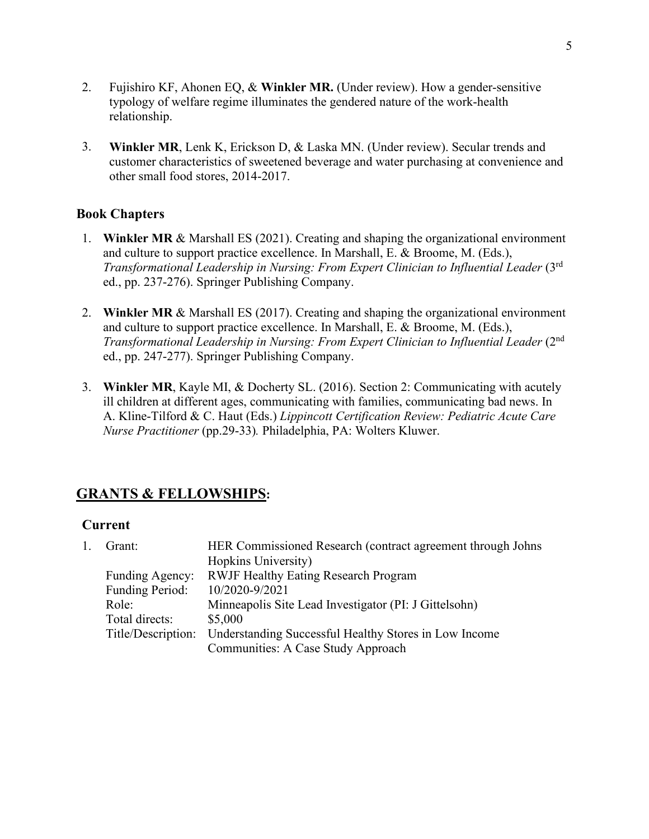- 2. Fujishiro KF, Ahonen EQ, & **Winkler MR.** (Under review). How a gender-sensitive typology of welfare regime illuminates the gendered nature of the work-health relationship.
- 3. **Winkler MR**, Lenk K, Erickson D, & Laska MN. (Under review). Secular trends and customer characteristics of sweetened beverage and water purchasing at convenience and other small food stores, 2014-2017.

# **Book Chapters**

- 1. **Winkler MR** & Marshall ES (2021). Creating and shaping the organizational environment and culture to support practice excellence. In Marshall, E. & Broome, M. (Eds.), *Transformational Leadership in Nursing: From Expert Clinician to Influential Leader* (3rd ed., pp. 237-276). Springer Publishing Company.
- 2. **Winkler MR** & Marshall ES (2017). Creating and shaping the organizational environment and culture to support practice excellence. In Marshall, E. & Broome, M. (Eds.), *Transformational Leadership in Nursing: From Expert Clinician to Influential Leader* (2nd ed., pp. 247-277). Springer Publishing Company.
- 3. **Winkler MR**, Kayle MI, & Docherty SL. (2016). Section 2: Communicating with acutely ill children at different ages, communicating with families, communicating bad news. In A. Kline-Tilford & C. Haut (Eds.) *Lippincott Certification Review: Pediatric Acute Care Nurse Practitioner* (pp.29-33)*.* Philadelphia, PA: Wolters Kluwer.

# **GRANTS & FELLOWSHIPS:**

## **Current**

| Grant:          | HER Commissioned Research (contract agreement through Johns              |
|-----------------|--------------------------------------------------------------------------|
|                 | Hopkins University)                                                      |
| Funding Agency: | <b>RWJF Healthy Eating Research Program</b>                              |
| Funding Period: | 10/2020-9/2021                                                           |
| Role:           | Minneapolis Site Lead Investigator (PI: J Gittelsohn)                    |
| Total directs:  | \$5,000                                                                  |
|                 | Title/Description: Understanding Successful Healthy Stores in Low Income |
|                 | Communities: A Case Study Approach                                       |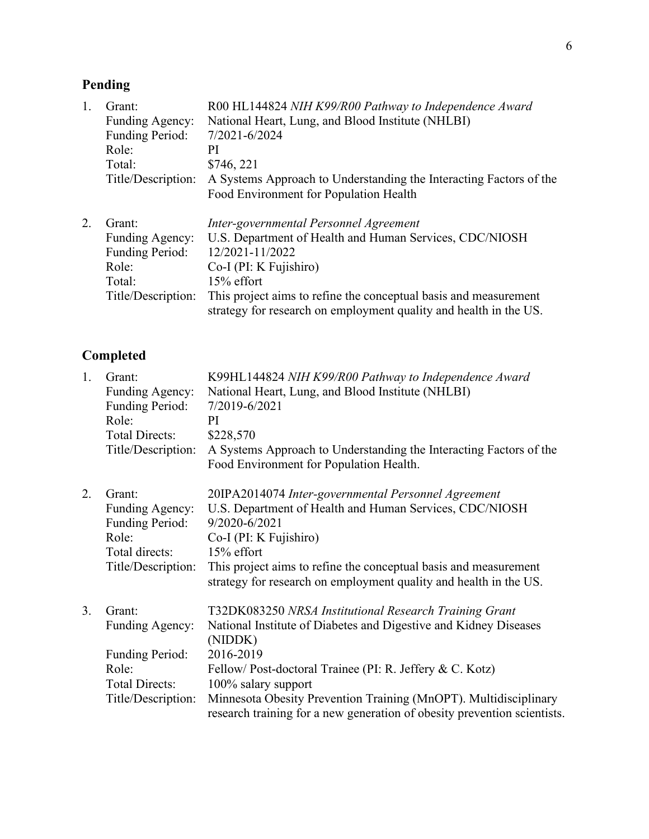# **Pending**

| 1. | Grant:                 | R00 HL144824 NIH K99/R00 Pathway to Independence Award                                                                                |
|----|------------------------|---------------------------------------------------------------------------------------------------------------------------------------|
|    | <b>Funding Agency:</b> | National Heart, Lung, and Blood Institute (NHLBI)                                                                                     |
|    | Funding Period:        | 7/2021-6/2024                                                                                                                         |
|    | Role:                  | РI                                                                                                                                    |
|    | Total:                 | \$746, 221                                                                                                                            |
|    | Title/Description:     | A Systems Approach to Understanding the Interacting Factors of the                                                                    |
|    |                        | Food Environment for Population Health                                                                                                |
| 2. | Grant:                 | Inter-governmental Personnel Agreement                                                                                                |
|    | Funding Agency:        | U.S. Department of Health and Human Services, CDC/NIOSH                                                                               |
|    | Funding Period:        | 12/2021-11/2022                                                                                                                       |
|    | Role:                  | Co-I (PI: K Fujishiro)                                                                                                                |
|    | Total:                 | 15% effort                                                                                                                            |
|    | Title/Description:     | This project aims to refine the conceptual basis and measurement<br>strategy for research on employment quality and health in the US. |

# **Completed**

| 1. | Grant:<br><b>Funding Agency:</b><br><b>Funding Period:</b><br>Role:<br><b>Total Directs:</b><br>Title/Description: | K99HL144824 NIH K99/R00 Pathway to Independence Award<br>National Heart, Lung, and Blood Institute (NHLBI)<br>7/2019-6/2021<br>PI<br>\$228,570<br>A Systems Approach to Understanding the Interacting Factors of the<br>Food Environment for Population Health.                                                                                                                      |
|----|--------------------------------------------------------------------------------------------------------------------|--------------------------------------------------------------------------------------------------------------------------------------------------------------------------------------------------------------------------------------------------------------------------------------------------------------------------------------------------------------------------------------|
| 2. | Grant:<br>Funding Agency:<br><b>Funding Period:</b><br>Role:<br>Total directs:<br>Title/Description:               | 20IPA2014074 Inter-governmental Personnel Agreement<br>U.S. Department of Health and Human Services, CDC/NIOSH<br>9/2020-6/2021<br>Co-I (PI: K Fujishiro)<br>$15%$ effort<br>This project aims to refine the conceptual basis and measurement<br>strategy for research on employment quality and health in the US.                                                                   |
| 3. | Grant:<br><b>Funding Agency:</b><br><b>Funding Period:</b><br>Role:<br><b>Total Directs:</b><br>Title/Description: | T32DK083250 NRSA Institutional Research Training Grant<br>National Institute of Diabetes and Digestive and Kidney Diseases<br>(NIDDK)<br>2016-2019<br>Fellow/Post-doctoral Trainee (PI: R. Jeffery & C. Kotz)<br>100% salary support<br>Minnesota Obesity Prevention Training (MnOPT). Multidisciplinary<br>research training for a new generation of obesity prevention scientists. |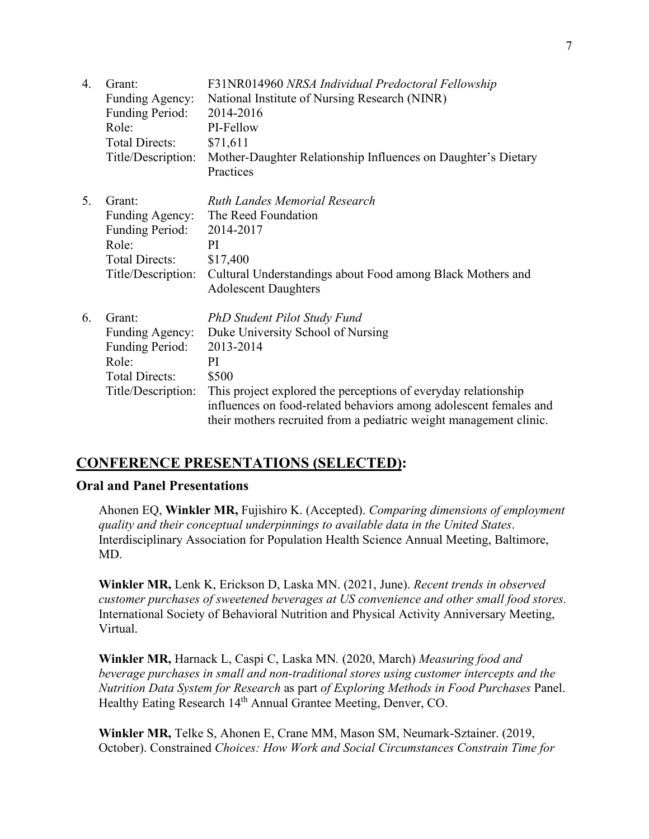| 4. | Grant:<br>Funding Agency:<br><b>Funding Period:</b><br>Role:<br><b>Total Directs:</b><br>Title/Description: | F31NR014960 NRSA Individual Predoctoral Fellowship<br>National Institute of Nursing Research (NINR)<br>2014-2016<br>PI-Fellow<br>\$71,611<br>Mother-Daughter Relationship Influences on Daughter's Dietary<br>Practices                                                                                    |
|----|-------------------------------------------------------------------------------------------------------------|------------------------------------------------------------------------------------------------------------------------------------------------------------------------------------------------------------------------------------------------------------------------------------------------------------|
| 5. | Grant:<br>Funding Agency:<br><b>Funding Period:</b><br>Role:<br><b>Total Directs:</b><br>Title/Description: | <b>Ruth Landes Memorial Research</b><br>The Reed Foundation<br>2014-2017<br>PI<br>\$17,400<br>Cultural Understandings about Food among Black Mothers and<br><b>Adolescent Daughters</b>                                                                                                                    |
| 6. | Grant:<br>Funding Agency:<br>Funding Period:<br>Role:<br><b>Total Directs:</b><br>Title/Description:        | PhD Student Pilot Study Fund<br>Duke University School of Nursing<br>2013-2014<br>PI<br>\$500<br>This project explored the perceptions of everyday relationship<br>influences on food-related behaviors among adolescent females and<br>their mothers recruited from a pediatric weight management clinic. |

# **CONFERENCE PRESENTATIONS (SELECTED):**

## **Oral and Panel Presentations**

Ahonen EQ, **Winkler MR,** Fujishiro K. (Accepted). *Comparing dimensions of employment quality and their conceptual underpinnings to available data in the United States*. Interdisciplinary Association for Population Health Science Annual Meeting, Baltimore, MD.

**Winkler MR,** Lenk K, Erickson D, Laska MN. (2021, June). *Recent trends in observed customer purchases of sweetened beverages at US convenience and other small food stores.* International Society of Behavioral Nutrition and Physical Activity Anniversary Meeting, Virtual.

**Winkler MR,** Harnack L, Caspi C, Laska MN*.* (2020, March) *Measuring food and beverage purchases in small and non-traditional stores using customer intercepts and the Nutrition Data System for Research* as part *of Exploring Methods in Food Purchases* Panel. Healthy Eating Research 14<sup>th</sup> Annual Grantee Meeting, Denver, CO.

**Winkler MR,** Telke S, Ahonen E, Crane MM, Mason SM, Neumark-Sztainer. (2019, October). Constrained *Choices: How Work and Social Circumstances Constrain Time for*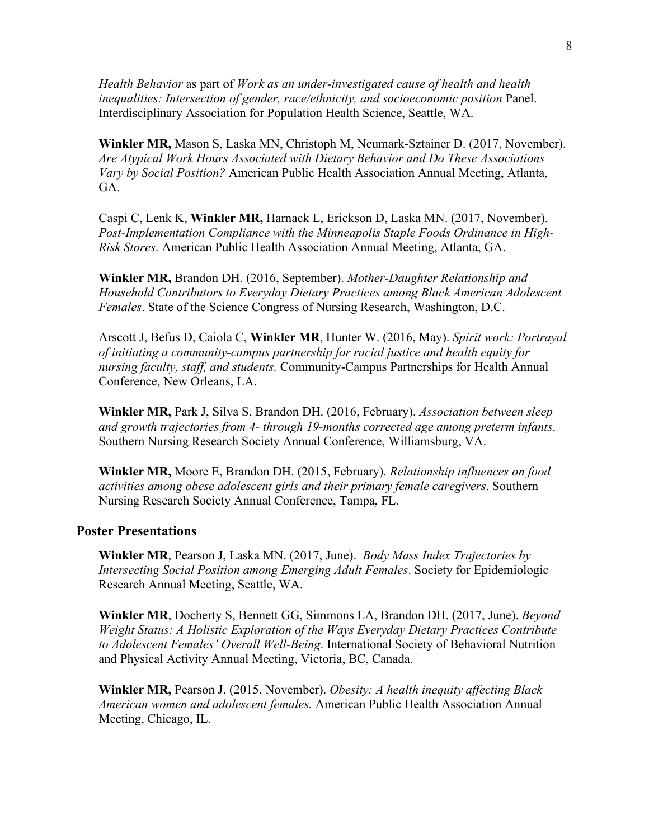*Health Behavior* as part of *Work as an under-investigated cause of health and health inequalities: Intersection of gender, race/ethnicity, and socioeconomic position* Panel. Interdisciplinary Association for Population Health Science, Seattle, WA.

**Winkler MR,** Mason S, Laska MN, Christoph M, Neumark-Sztainer D. (2017, November). *Are Atypical Work Hours Associated with Dietary Behavior and Do These Associations Vary by Social Position?* American Public Health Association Annual Meeting, Atlanta, GA.

Caspi C, Lenk K, **Winkler MR,** Harnack L, Erickson D, Laska MN. (2017, November). *Post-Implementation Compliance with the Minneapolis Staple Foods Ordinance in High-Risk Stores*. American Public Health Association Annual Meeting, Atlanta, GA.

**Winkler MR,** Brandon DH. (2016, September). *Mother-Daughter Relationship and Household Contributors to Everyday Dietary Practices among Black American Adolescent Females*. State of the Science Congress of Nursing Research, Washington, D.C.

Arscott J, Befus D, Caiola C, **Winkler MR**, Hunter W. (2016, May). *Spirit work: Portrayal of initiating a community-campus partnership for racial justice and health equity for nursing faculty, staff, and students.* Community-Campus Partnerships for Health Annual Conference, New Orleans, LA.

**Winkler MR,** Park J, Silva S, Brandon DH. (2016, February). *Association between sleep and growth trajectories from 4- through 19-months corrected age among preterm infants*. Southern Nursing Research Society Annual Conference, Williamsburg, VA.

**Winkler MR,** Moore E, Brandon DH. (2015, February). *Relationship influences on food activities among obese adolescent girls and their primary female caregivers*. Southern Nursing Research Society Annual Conference, Tampa, FL.

#### **Poster Presentations**

**Winkler MR**, Pearson J, Laska MN. (2017, June). *Body Mass Index Trajectories by Intersecting Social Position among Emerging Adult Females*. Society for Epidemiologic Research Annual Meeting, Seattle, WA.

**Winkler MR**, Docherty S, Bennett GG, Simmons LA, Brandon DH. (2017, June). *Beyond Weight Status: A Holistic Exploration of the Ways Everyday Dietary Practices Contribute to Adolescent Females' Overall Well-Being*. International Society of Behavioral Nutrition and Physical Activity Annual Meeting, Victoria, BC, Canada.

**Winkler MR,** Pearson J. (2015, November). *Obesity: A health inequity affecting Black American women and adolescent females.* American Public Health Association Annual Meeting, Chicago, IL.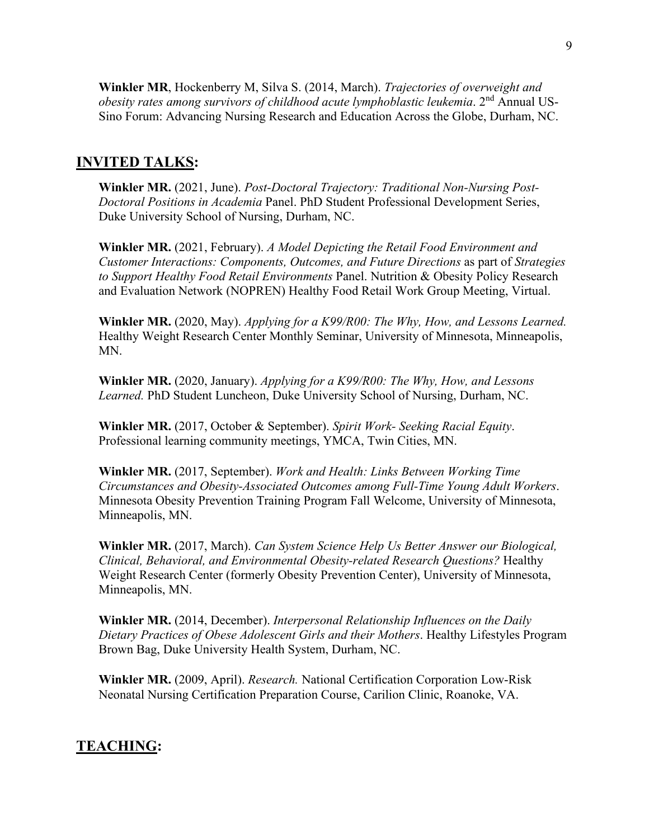**Winkler MR**, Hockenberry M, Silva S. (2014, March). *Trajectories of overweight and obesity rates among survivors of childhood acute lymphoblastic leukemia*. 2nd Annual US-Sino Forum: Advancing Nursing Research and Education Across the Globe, Durham, NC.

## **INVITED TALKS:**

**Winkler MR.** (2021, June). *Post-Doctoral Trajectory: Traditional Non-Nursing Post-Doctoral Positions in Academia* Panel. PhD Student Professional Development Series, Duke University School of Nursing, Durham, NC.

**Winkler MR.** (2021, February). *A Model Depicting the Retail Food Environment and Customer Interactions: Components, Outcomes, and Future Directions* as part of *Strategies to Support Healthy Food Retail Environments* Panel. Nutrition & Obesity Policy Research and Evaluation Network (NOPREN) Healthy Food Retail Work Group Meeting, Virtual.

**Winkler MR.** (2020, May). *Applying for a K99/R00: The Why, How, and Lessons Learned.* Healthy Weight Research Center Monthly Seminar, University of Minnesota, Minneapolis, MN.

**Winkler MR.** (2020, January). *Applying for a K99/R00: The Why, How, and Lessons Learned.* PhD Student Luncheon, Duke University School of Nursing, Durham, NC.

**Winkler MR.** (2017, October & September). *Spirit Work- Seeking Racial Equity*. Professional learning community meetings, YMCA, Twin Cities, MN.

**Winkler MR.** (2017, September). *Work and Health: Links Between Working Time Circumstances and Obesity-Associated Outcomes among Full-Time Young Adult Workers*. Minnesota Obesity Prevention Training Program Fall Welcome, University of Minnesota, Minneapolis, MN.

**Winkler MR.** (2017, March). *Can System Science Help Us Better Answer our Biological, Clinical, Behavioral, and Environmental Obesity-related Research Questions?* Healthy Weight Research Center (formerly Obesity Prevention Center), University of Minnesota, Minneapolis, MN.

**Winkler MR.** (2014, December). *Interpersonal Relationship Influences on the Daily Dietary Practices of Obese Adolescent Girls and their Mothers*. Healthy Lifestyles Program Brown Bag, Duke University Health System, Durham, NC.

**Winkler MR.** (2009, April). *Research.* National Certification Corporation Low-Risk Neonatal Nursing Certification Preparation Course, Carilion Clinic, Roanoke, VA.

## **TEACHING:**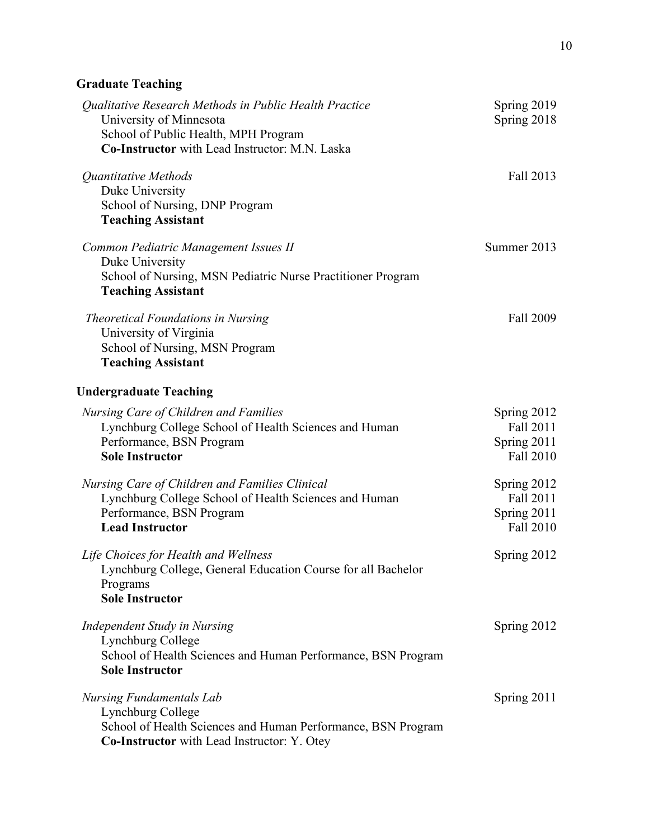# **Graduate Teaching**

| Orauuait Ttathing                                                                                                                                                           |                                                      |
|-----------------------------------------------------------------------------------------------------------------------------------------------------------------------------|------------------------------------------------------|
| Qualitative Research Methods in Public Health Practice<br>University of Minnesota<br>School of Public Health, MPH Program<br>Co-Instructor with Lead Instructor: M.N. Laska | Spring 2019<br>Spring 2018                           |
| Quantitative Methods<br>Duke University<br>School of Nursing, DNP Program<br><b>Teaching Assistant</b>                                                                      | Fall 2013                                            |
| Common Pediatric Management Issues II<br>Duke University<br>School of Nursing, MSN Pediatric Nurse Practitioner Program<br><b>Teaching Assistant</b>                        | Summer 2013                                          |
| Theoretical Foundations in Nursing<br>University of Virginia<br>School of Nursing, MSN Program<br><b>Teaching Assistant</b>                                                 | Fall 2009                                            |
| <b>Undergraduate Teaching</b>                                                                                                                                               |                                                      |
| Nursing Care of Children and Families<br>Lynchburg College School of Health Sciences and Human<br>Performance, BSN Program<br><b>Sole Instructor</b>                        | Spring 2012<br>Fall 2011<br>Spring 2011<br>Fall 2010 |
| Nursing Care of Children and Families Clinical<br>Lynchburg College School of Health Sciences and Human<br>Performance, BSN Program<br><b>Lead Instructor</b>               | Spring 2012<br>Fall 2011<br>Spring 2011<br>Fall 2010 |
| Life Choices for Health and Wellness<br>Lynchburg College, General Education Course for all Bachelor<br>Programs<br><b>Sole Instructor</b>                                  | Spring 2012                                          |
| Independent Study in Nursing<br>Lynchburg College<br>School of Health Sciences and Human Performance, BSN Program<br><b>Sole Instructor</b>                                 | Spring 2012                                          |
| <b>Nursing Fundamentals Lab</b><br>Lynchburg College<br>School of Health Sciences and Human Performance, BSN Program<br><b>Co-Instructor</b> with Lead Instructor: Y. Otey  | Spring 2011                                          |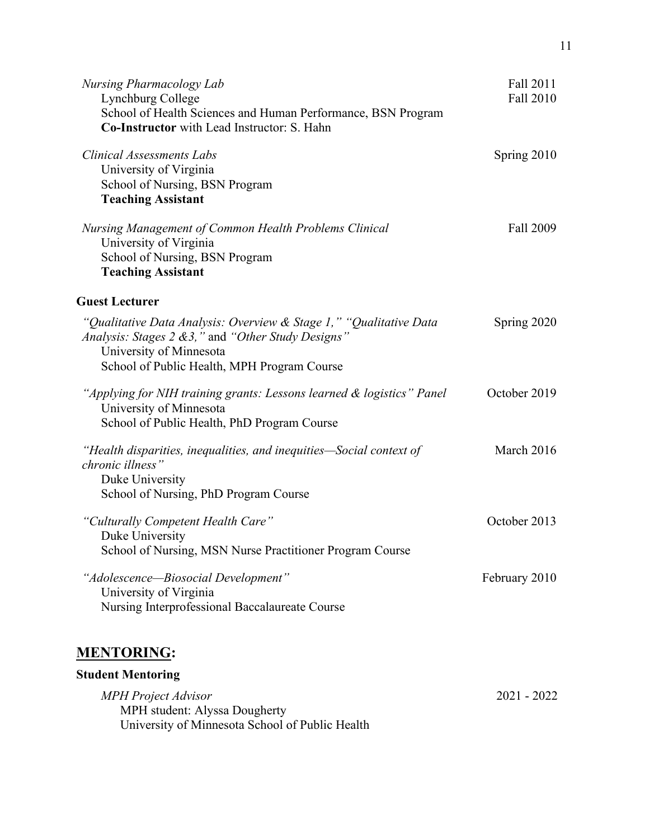| <b>Nursing Pharmacology Lab</b><br>Lynchburg College<br>School of Health Sciences and Human Performance, BSN Program<br>Co-Instructor with Lead Instructor: S. Hahn                                | Fall 2011<br>Fall 2010 |
|----------------------------------------------------------------------------------------------------------------------------------------------------------------------------------------------------|------------------------|
| <b>Clinical Assessments Labs</b><br>University of Virginia<br>School of Nursing, BSN Program<br><b>Teaching Assistant</b>                                                                          | Spring 2010            |
| Nursing Management of Common Health Problems Clinical<br>University of Virginia<br>School of Nursing, BSN Program<br><b>Teaching Assistant</b>                                                     | Fall 2009              |
| <b>Guest Lecturer</b>                                                                                                                                                                              |                        |
| "Qualitative Data Analysis: Overview & Stage 1," "Qualitative Data<br>Analysis: Stages 2 & 3," and "Other Study Designs"<br>University of Minnesota<br>School of Public Health, MPH Program Course | Spring 2020            |
| "Applying for NIH training grants: Lessons learned & logistics" Panel<br>University of Minnesota<br>School of Public Health, PhD Program Course                                                    | October 2019           |
| "Health disparities, inequalities, and inequities—Social context of<br>chronic illness"<br>Duke University<br>School of Nursing, PhD Program Course                                                | March 2016             |
| "Culturally Competent Health Care"<br>Duke University<br>School of Nursing, MSN Nurse Practitioner Program Course                                                                                  | October 2013           |
| "Adolescence—Biosocial Development"<br>University of Virginia<br>Nursing Interprofessional Baccalaureate Course                                                                                    | February 2010          |
| <u>MENTORING:</u>                                                                                                                                                                                  |                        |
| <b>Student Mentoring</b>                                                                                                                                                                           |                        |
| <b>MPH</b> Project Advisor<br>MPH student: Alyssa Dougherty                                                                                                                                        | 2021 - 2022            |

University of Minnesota School of Public Health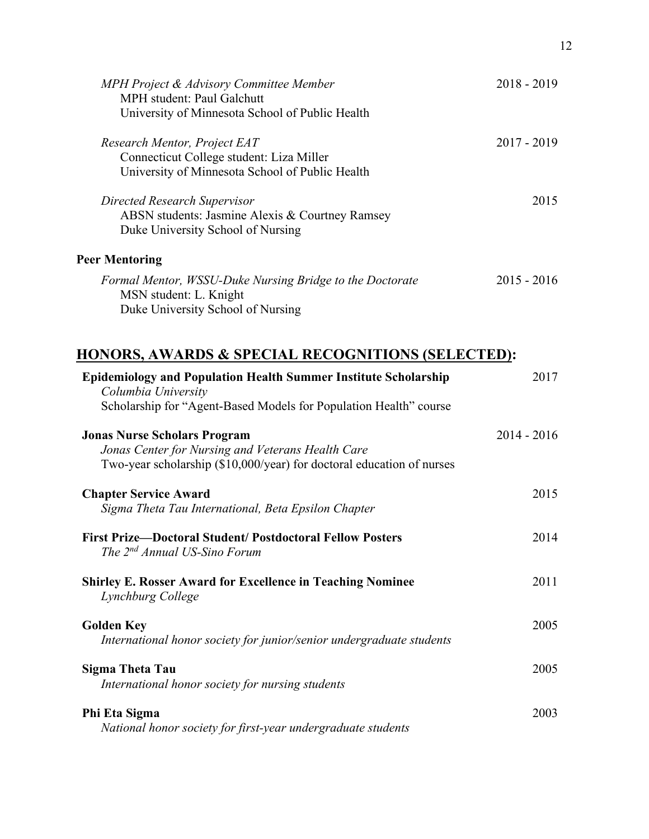| MPH Project & Advisory Committee Member<br><b>MPH</b> student: Paul Galchutt<br>University of Minnesota School of Public Health | $2018 - 2019$ |
|---------------------------------------------------------------------------------------------------------------------------------|---------------|
| Research Mentor, Project EAT<br>Connecticut College student: Liza Miller<br>University of Minnesota School of Public Health     | 2017 - 2019   |
| Directed Research Supervisor<br>ABSN students: Jasmine Alexis & Courtney Ramsey<br>Duke University School of Nursing            | 2015          |
| <b>Peer Mentoring</b>                                                                                                           |               |
| Formal Mentor, WSSU-Duke Nursing Bridge to the Doctorate<br>MSN student: L. Knight<br>Duke University School of Nursing         | $2015 - 2016$ |

# **HONORS, AWARDS & SPECIAL RECOGNITIONS (SELECTED):**

| <b>Epidemiology and Population Health Summer Institute Scholarship</b><br>Columbia University                                                                     | 2017        |
|-------------------------------------------------------------------------------------------------------------------------------------------------------------------|-------------|
| Scholarship for "Agent-Based Models for Population Health" course                                                                                                 |             |
| <b>Jonas Nurse Scholars Program</b><br>Jonas Center for Nursing and Veterans Health Care<br>Two-year scholarship (\$10,000/year) for doctoral education of nurses | 2014 - 2016 |
| <b>Chapter Service Award</b><br>Sigma Theta Tau International, Beta Epsilon Chapter                                                                               | 2015        |
| <b>First Prize-Doctoral Student/ Postdoctoral Fellow Posters</b><br>The 2 <sup>nd</sup> Annual US-Sino Forum                                                      | 2014        |
| <b>Shirley E. Rosser Award for Excellence in Teaching Nominee</b><br>Lynchburg College                                                                            | 2011        |
| <b>Golden Key</b><br>International honor society for junior/senior undergraduate students                                                                         | 2005        |
| Sigma Theta Tau<br>International honor society for nursing students                                                                                               | 2005        |
| Phi Eta Sigma<br>National honor society for first-year undergraduate students                                                                                     | 2003        |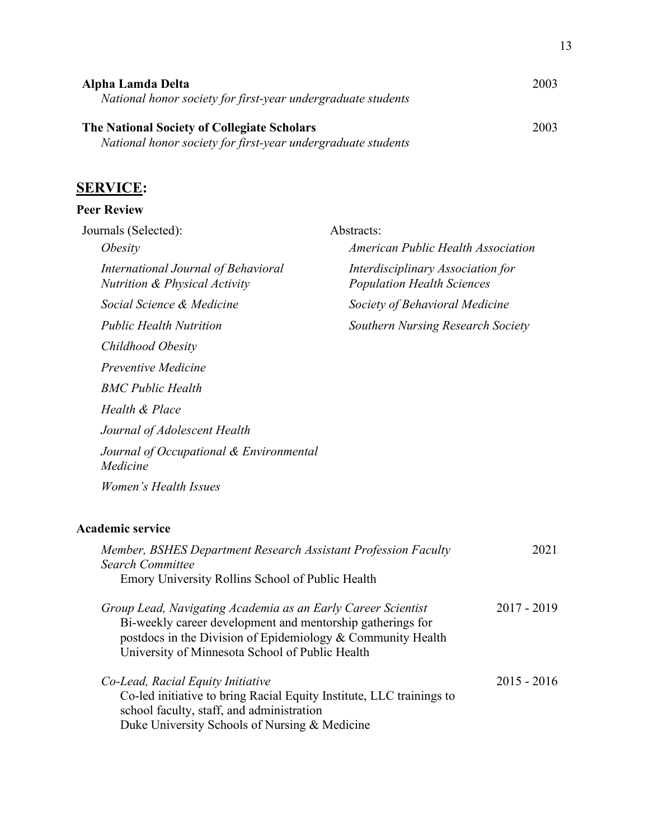| Alpha Lamda Delta<br>National honor society for first-year undergraduate students                           | 2003 |
|-------------------------------------------------------------------------------------------------------------|------|
| The National Society of Collegiate Scholars<br>National honor society for first-year undergraduate students | 2003 |

# **SERVICE:**

# **Peer Review**

| Journals (Selected):                                                            | Abstracts:                                                             |
|---------------------------------------------------------------------------------|------------------------------------------------------------------------|
| <i>Obesity</i>                                                                  | American Public Health Association                                     |
| International Journal of Behavioral<br><b>Nutrition &amp; Physical Activity</b> | Interdisciplinary Association for<br><b>Population Health Sciences</b> |
| Social Science & Medicine                                                       | Society of Behavioral Medicine                                         |
| <i>Public Health Nutrition</i>                                                  | Southern Nursing Research Society                                      |
| Childhood Obesity                                                               |                                                                        |
| <i>Preventive Medicine</i>                                                      |                                                                        |
| <b>BMC Public Health</b>                                                        |                                                                        |
| Health & Place                                                                  |                                                                        |
| Journal of Adolescent Health                                                    |                                                                        |
| Journal of Occupational & Environmental<br>Medicine                             |                                                                        |
| Women's Health Issues                                                           |                                                                        |
|                                                                                 |                                                                        |

# **Academic service**

| Member, BSHES Department Research Assistant Profession Faculty<br><b>Search Committee</b><br>Emory University Rollins School of Public Health                                                                                                | 2021          |
|----------------------------------------------------------------------------------------------------------------------------------------------------------------------------------------------------------------------------------------------|---------------|
| Group Lead, Navigating Academia as an Early Career Scientist<br>Bi-weekly career development and mentorship gatherings for<br>postdocs in the Division of Epidemiology & Community Health<br>University of Minnesota School of Public Health | $2017 - 2019$ |
| Co-Lead, Racial Equity Initiative<br>Co-led initiative to bring Racial Equity Institute, LLC trainings to<br>school faculty, staff, and administration<br>Duke University Schools of Nursing & Medicine                                      | $2015 - 2016$ |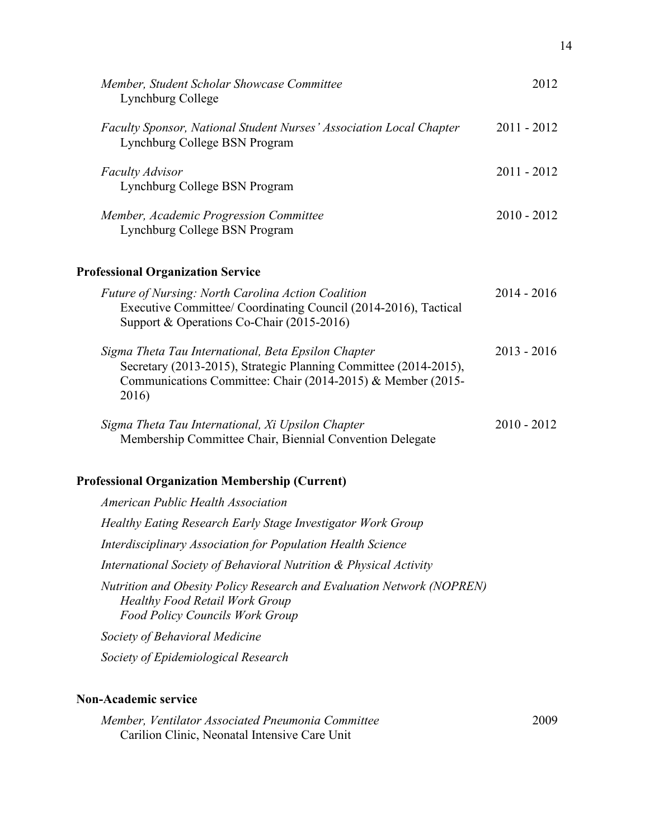| Member, Student Scholar Showcase Committee<br>Lynchburg College                                                                                                                                 | 2012          |
|-------------------------------------------------------------------------------------------------------------------------------------------------------------------------------------------------|---------------|
| Faculty Sponsor, National Student Nurses' Association Local Chapter<br>Lynchburg College BSN Program                                                                                            | $2011 - 2012$ |
| <b>Faculty Advisor</b><br>Lynchburg College BSN Program                                                                                                                                         | 2011 - 2012   |
| Member, Academic Progression Committee<br>Lynchburg College BSN Program                                                                                                                         | $2010 - 2012$ |
| <b>Professional Organization Service</b>                                                                                                                                                        |               |
| <b>Future of Nursing: North Carolina Action Coalition</b><br>Executive Committee/ Coordinating Council (2014-2016), Tactical<br>Support & Operations Co-Chair (2015-2016)                       | $2014 - 2016$ |
| Sigma Theta Tau International, Beta Epsilon Chapter<br>Secretary (2013-2015), Strategic Planning Committee (2014-2015),<br>Communications Committee: Chair (2014-2015) & Member (2015-<br>2016) | $2013 - 2016$ |
| Sigma Theta Tau International, Xi Upsilon Chapter<br>Membership Committee Chair, Biennial Convention Delegate                                                                                   | $2010 - 2012$ |
| <b>Professional Organization Membership (Current)</b>                                                                                                                                           |               |
| American Public Health Association                                                                                                                                                              |               |
| Healthy Eating Research Early Stage Investigator Work Group                                                                                                                                     |               |
| Interdisciplinary Association for Population Health Science                                                                                                                                     |               |
| International Society of Behavioral Nutrition & Physical Activity                                                                                                                               |               |
| Nutrition and Obesity Policy Research and Evaluation Network (NOPREN)<br><b>Healthy Food Retail Work Group</b><br><b>Food Policy Councils Work Group</b>                                        |               |
| Society of Behavioral Medicine                                                                                                                                                                  |               |
| Society of Epidemiological Research                                                                                                                                                             |               |
|                                                                                                                                                                                                 |               |
|                                                                                                                                                                                                 |               |

# **Non-Academic service**

*Member, Ventilator Associated Pneumonia Committee* Carilion Clinic, Neonatal Intensive Care Unit

2009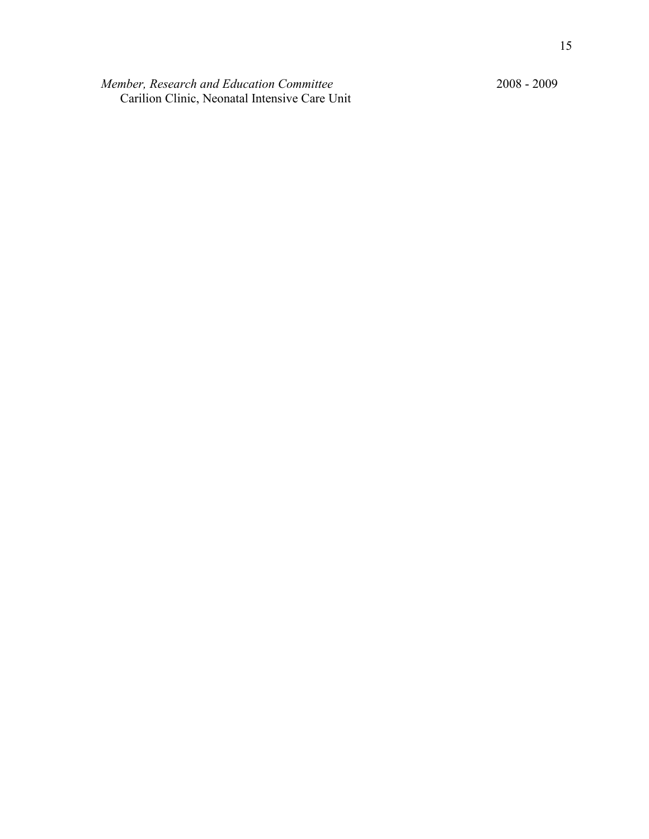*Member, Research and Education Committee* Carilion Clinic, Neonatal Intensive Care Unit 2008 - 2009